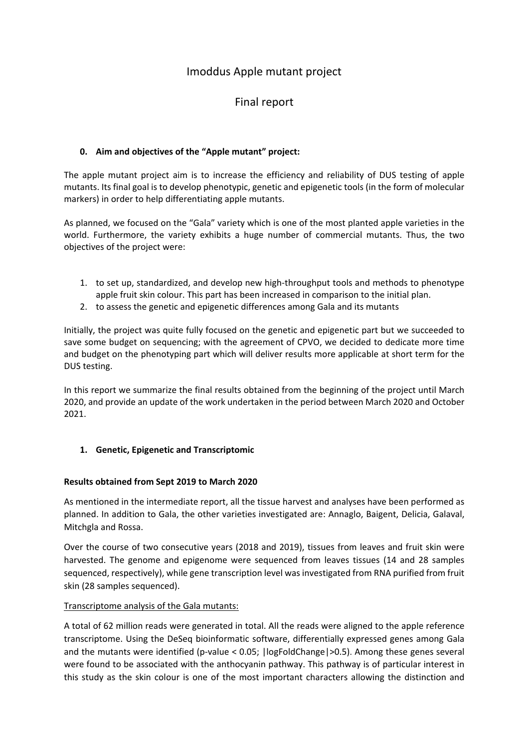# Imoddus Apple mutant project

# Final report

# **0. Aim and objectives of the "Apple mutant" project:**

The apple mutant project aim is to increase the efficiency and reliability of DUS testing of apple mutants. Its final goal is to develop phenotypic, genetic and epigenetic tools (in the form of molecular markers) in order to help differentiating apple mutants.

As planned, we focused on the "Gala" variety which is one of the most planted apple varieties in the world. Furthermore, the variety exhibits a huge number of commercial mutants. Thus, the two objectives of the project were:

- 1. to set up, standardized, and develop new high-throughput tools and methods to phenotype apple fruit skin colour. This part has been increased in comparison to the initial plan.
- 2. to assess the genetic and epigenetic differences among Gala and its mutants

Initially, the project was quite fully focused on the genetic and epigenetic part but we succeeded to save some budget on sequencing; with the agreement of CPVO, we decided to dedicate more time and budget on the phenotyping part which will deliver results more applicable at short term for the DUS testing.

In this report we summarize the final results obtained from the beginning of the project until March 2020, and provide an update of the work undertaken in the period between March 2020 and October 2021.

# **1. Genetic, Epigenetic and Transcriptomic**

# **Results obtained from Sept 2019 to March 2020**

As mentioned in the intermediate report, all the tissue harvest and analyses have been performed as planned. In addition to Gala, the other varieties investigated are: Annaglo, Baigent, Delicia, Galaval, Mitchgla and Rossa.

Over the course of two consecutive years (2018 and 2019), tissues from leaves and fruit skin were harvested. The genome and epigenome were sequenced from leaves tissues (14 and 28 samples sequenced, respectively), while gene transcription level was investigated from RNA purified from fruit skin (28 samples sequenced).

# Transcriptome analysis of the Gala mutants:

A total of 62 million reads were generated in total. All the reads were aligned to the apple reference transcriptome. Using the DeSeq bioinformatic software, differentially expressed genes among Gala and the mutants were identified (p-value < 0.05; |logFoldChange|>0.5). Among these genes several were found to be associated with the anthocyanin pathway. This pathway is of particular interest in this study as the skin colour is one of the most important characters allowing the distinction and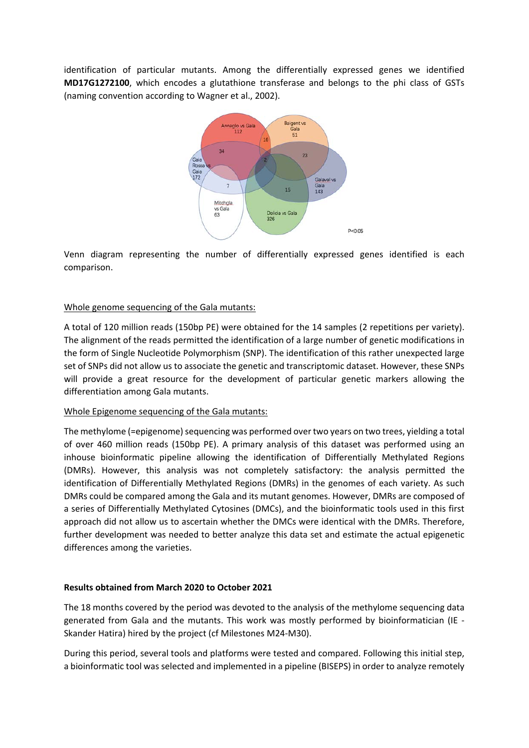identification of particular mutants. Among the differentially expressed genes we identified **MD17G1272100**, which encodes a glutathione transferase and belongs to the phi class of GSTs (naming convention according to Wagner et al., 2002).



Venn diagram representing the number of differentially expressed genes identified is each comparison.

# Whole genome sequencing of the Gala mutants:

A total of 120 million reads (150bp PE) were obtained for the 14 samples (2 repetitions per variety). The alignment of the reads permitted the identification of a large number of genetic modifications in the form of Single Nucleotide Polymorphism (SNP). The identification of this rather unexpected large set of SNPs did not allow us to associate the genetic and transcriptomic dataset. However, these SNPs will provide a great resource for the development of particular genetic markers allowing the differentiation among Gala mutants.

# Whole Epigenome sequencing of the Gala mutants:

The methylome (=epigenome) sequencing was performed over two years on two trees, yielding a total of over 460 million reads (150bp PE). A primary analysis of this dataset was performed using an inhouse bioinformatic pipeline allowing the identification of Differentially Methylated Regions (DMRs). However, this analysis was not completely satisfactory: the analysis permitted the identification of Differentially Methylated Regions (DMRs) in the genomes of each variety. As such DMRs could be compared among the Gala and its mutant genomes. However, DMRs are composed of a series of Differentially Methylated Cytosines (DMCs), and the bioinformatic tools used in this first approach did not allow us to ascertain whether the DMCs were identical with the DMRs. Therefore, further development was needed to better analyze this data set and estimate the actual epigenetic differences among the varieties.

# **Results obtained from March 2020 to October 2021**

The 18 months covered by the period was devoted to the analysis of the methylome sequencing data generated from Gala and the mutants. This work was mostly performed by bioinformatician (IE ‐ Skander Hatira) hired by the project (cf Milestones M24‐M30).

During this period, several tools and platforms were tested and compared. Following this initial step, a bioinformatic tool was selected and implemented in a pipeline (BISEPS) in order to analyze remotely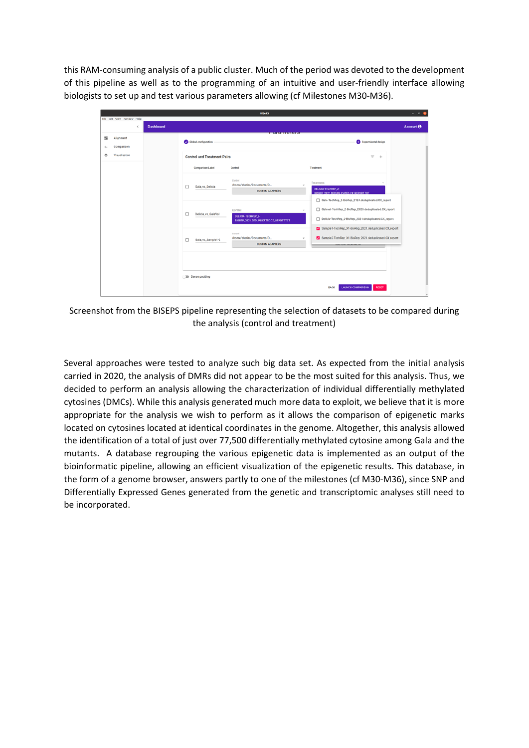this RAM‐consuming analysis of a public cluster. Much of the period was devoted to the development of this pipeline as well as to the programming of an intuitive and user-friendly interface allowing biologists to set up and test various parameters allowing (cf Milestones M30‐M36).



Screenshot from the BISEPS pipeline representing the selection of datasets to be compared during the analysis (control and treatment)

Several approaches were tested to analyze such big data set. As expected from the initial analysis carried in 2020, the analysis of DMRs did not appear to be the most suited for this analysis. Thus, we decided to perform an analysis allowing the characterization of individual differentially methylated cytosines (DMCs). While this analysis generated much more data to exploit, we believe that it is more appropriate for the analysis we wish to perform as it allows the comparison of epigenetic marks located on cytosines located at identical coordinates in the genome. Altogether, this analysis allowed the identification of a total of just over 77,500 differentially methylated cytosine among Gala and the mutants. A database regrouping the various epigenetic data is implemented as an output of the bioinformatic pipeline, allowing an efficient visualization of the epigenetic results. This database, in the form of a genome browser, answers partly to one of the milestones (cf M30‐M36), since SNP and Differentially Expressed Genes generated from the genetic and transcriptomic analyses still need to be incorporated.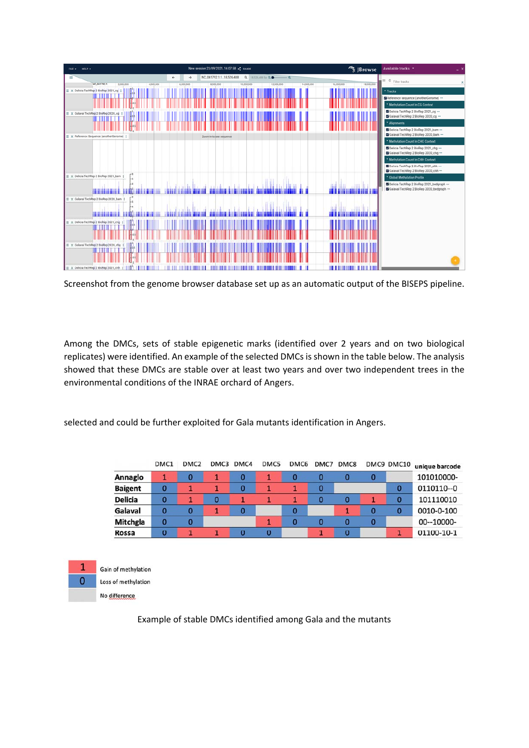

Screenshot from the genome browser database set up as an automatic output of the BISEPS pipeline.

Among the DMCs, sets of stable epigenetic marks (identified over 2 years and on two biological replicates) were identified. An example of the selected DMCs is shown in the table below. The analysis showed that these DMCs are stable over at least two years and over two independent trees in the environmental conditions of the INRAE orchard of Angers.

selected and could be further exploited for Gala mutants identification in Angers.

|                | DMC1 | DMC <sub>2</sub> | DMC3 | DMC4 | DMC5 | DMC <sub>6</sub> | DMC7 | DMC8 |   | DMC9 DMC10 | unique barcode |
|----------------|------|------------------|------|------|------|------------------|------|------|---|------------|----------------|
| Annaglo        |      | 0                |      | 0    |      | 0                | Ω    | 0    | O |            | 101010000-     |
| <b>Baigent</b> | 0    |                  |      | 0    |      |                  | 0    |      |   | 0          | 0110110--0     |
| <b>Delicia</b> | 0    |                  | 0    |      |      |                  |      | 0    |   | 0          | 101110010      |
| Galaval        |      |                  |      | 0    |      | 0                |      |      |   | 0          | 0010-0-100     |
| Mitchgla       | 0    |                  |      |      |      |                  |      | 0    | O |            | 00--10000-     |
| Rossa          | 0    |                  |      | 0    | 0    |                  |      | 0    |   |            | 01100-10-1     |



Example of stable DMCs identified among Gala and the mutants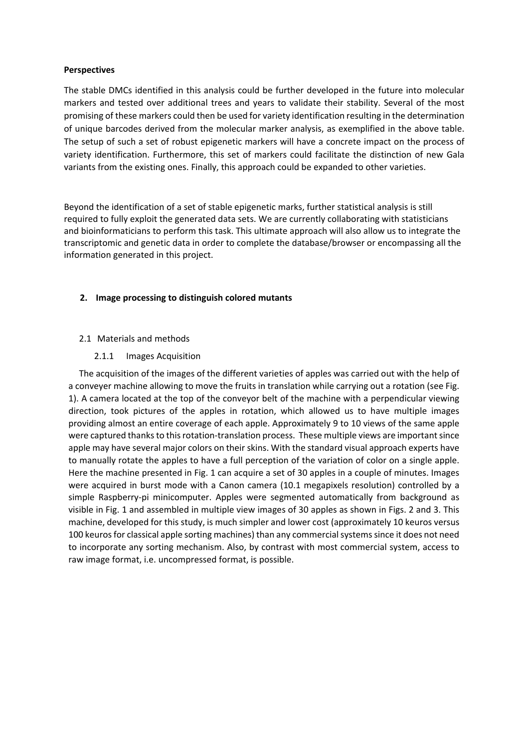### **Perspectives**

The stable DMCs identified in this analysis could be further developed in the future into molecular markers and tested over additional trees and years to validate their stability. Several of the most promising of these markers could then be used for variety identification resulting in the determination of unique barcodes derived from the molecular marker analysis, as exemplified in the above table. The setup of such a set of robust epigenetic markers will have a concrete impact on the process of variety identification. Furthermore, this set of markers could facilitate the distinction of new Gala variants from the existing ones. Finally, this approach could be expanded to other varieties.

Beyond the identification of a set of stable epigenetic marks, further statistical analysis is still required to fully exploit the generated data sets. We are currently collaborating with statisticians and bioinformaticians to perform this task. This ultimate approach will also allow us to integrate the transcriptomic and genetic data in order to complete the database/browser or encompassing all the information generated in this project.

# **2. Image processing to distinguish colored mutants**

### 2.1 Materials and methods

2.1.1 Images Acquisition

The acquisition of the images of the different varieties of apples was carried out with the help of a conveyer machine allowing to move the fruits in translation while carrying out a rotation (see Fig. 1). A camera located at the top of the conveyor belt of the machine with a perpendicular viewing direction, took pictures of the apples in rotation, which allowed us to have multiple images providing almost an entire coverage of each apple. Approximately 9 to 10 views of the same apple were captured thanks to this rotation-translation process. These multiple views are important since apple may have several major colors on their skins. With the standard visual approach experts have to manually rotate the apples to have a full perception of the variation of color on a single apple. Here the machine presented in Fig. 1 can acquire a set of 30 apples in a couple of minutes. Images were acquired in burst mode with a Canon camera (10.1 megapixels resolution) controlled by a simple Raspberry-pi minicomputer. Apples were segmented automatically from background as visible in Fig. 1 and assembled in multiple view images of 30 apples as shown in Figs. 2 and 3. This machine, developed for this study, is much simpler and lower cost (approximately 10 keuros versus 100 keuros for classical apple sorting machines) than any commercial systems since it does not need to incorporate any sorting mechanism. Also, by contrast with most commercial system, access to raw image format, i.e. uncompressed format, is possible.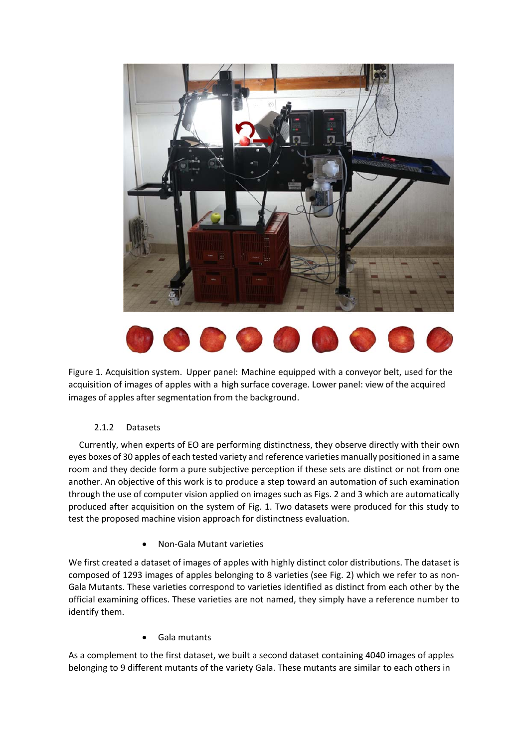



Figure 1. Acquisition system. Upper panel: Machine equipped with a conveyor belt, used for the acquisition of images of apples with a high surface coverage. Lower panel: view of the acquired images of apples after segmentation from the background.

# 2.1.2 Datasets

Currently, when experts of EO are performing distinctness, they observe directly with their own eyes boxes of 30 apples of each tested variety and reference varieties manually positioned in a same room and they decide form a pure subjective perception if these sets are distinct or not from one another. An objective of this work is to produce a step toward an automation of such examination through the use of computer vision applied on images such as Figs. 2 and 3 which are automatically produced after acquisition on the system of Fig. 1. Two datasets were produced for this study to test the proposed machine vision approach for distinctness evaluation.

Non‐Gala Mutant varieties

We first created a dataset of images of apples with highly distinct color distributions. The dataset is composed of 1293 images of apples belonging to 8 varieties (see Fig. 2) which we refer to as non‐ Gala Mutants. These varieties correspond to varieties identified as distinct from each other by the official examining offices. These varieties are not named, they simply have a reference number to identify them.

Gala mutants

As a complement to the first dataset, we built a second dataset containing 4040 images of apples belonging to 9 different mutants of the variety Gala. These mutants are similar to each others in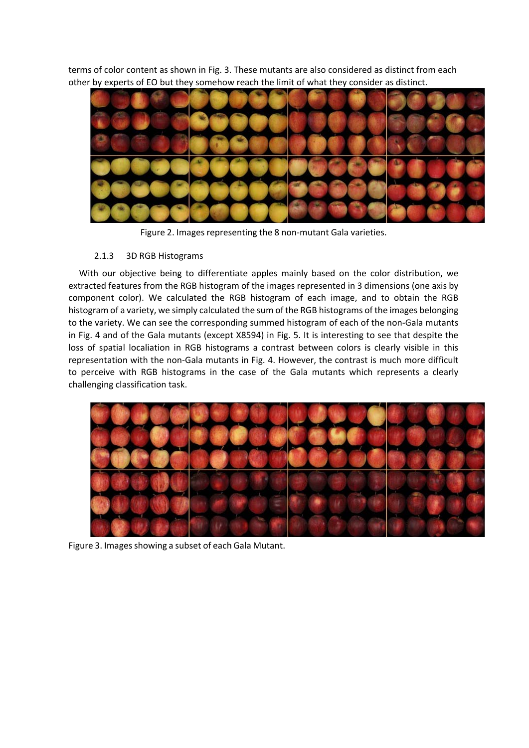terms of color content as shown in Fig. 3. These mutants are also considered as distinct from each other by experts of EO but they somehow reach the limit of what they consider as distinct.



Figure 2. Images representing the 8 non‐mutant Gala varieties.

# 2.1.3 3D RGB Histograms

With our objective being to differentiate apples mainly based on the color distribution, we extracted features from the RGB histogram of the images represented in 3 dimensions (one axis by component color). We calculated the RGB histogram of each image, and to obtain the RGB histogram of a variety, we simply calculated the sum of the RGB histograms of the images belonging to the variety. We can see the corresponding summed histogram of each of the non-Gala mutants in Fig. 4 and of the Gala mutants (except X8594) in Fig. 5. It is interesting to see that despite the loss of spatial localiation in RGB histograms a contrast between colors is clearly visible in this representation with the non‐Gala mutants in Fig. 4. However, the contrast is much more difficult to perceive with RGB histograms in the case of the Gala mutants which represents a clearly challenging classification task.



Figure 3. Images showing a subset of each Gala Mutant.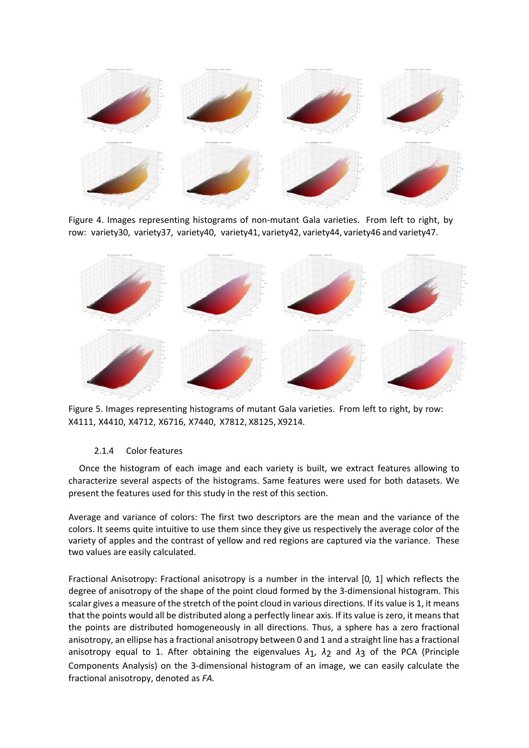

Figure 4. Images representing histograms of non-mutant Gala varieties. From left to right, by row: variety30, variety37, variety40, variety41, variety42, variety44, variety46 and variety47.



Figure 5. Images representing histograms of mutant Gala varieties. From left to right, by row: X4111, X4410, X4712, X6716, X7440, X7812, X8125, X9214.

# 2.1.4 Color features

Once the histogram of each image and each variety is built, we extract features allowing to characterize several aspects of the histograms. Same features were used for both datasets. We present the features used for this study in the rest of this section.

Average and variance of colors: The first two descriptors are the mean and the variance of the colors. It seems quite intuitive to use them since they give us respectively the average color of the variety of apples and the contrast of yellow and red regions are captured via the variance. These two values are easily calculated.

Fractional Anisotropy: Fractional anisotropy is a number in the interval [0*,* 1] which reflects the degree of anisotropy of the shape of the point cloud formed by the 3-dimensional histogram. This scalar gives a measure of the stretch of the point cloud in various directions. If its value is 1, it means that the points would all be distributed along a perfectly linear axis. If its value is zero, it means that the points are distributed homogeneously in all directions. Thus, a sphere has a zero fractional anisotropy, an ellipse has a fractional anisotropy between 0 and 1 and a straight line has a fractional anisotropy equal to 1. After obtaining the eigenvalues *λ*1*, λ*2 and *λ*3 of the PCA (Principle Components Analysis) on the 3‐dimensional histogram of an image, we can easily calculate the fractional anisotropy, denoted as *FA.*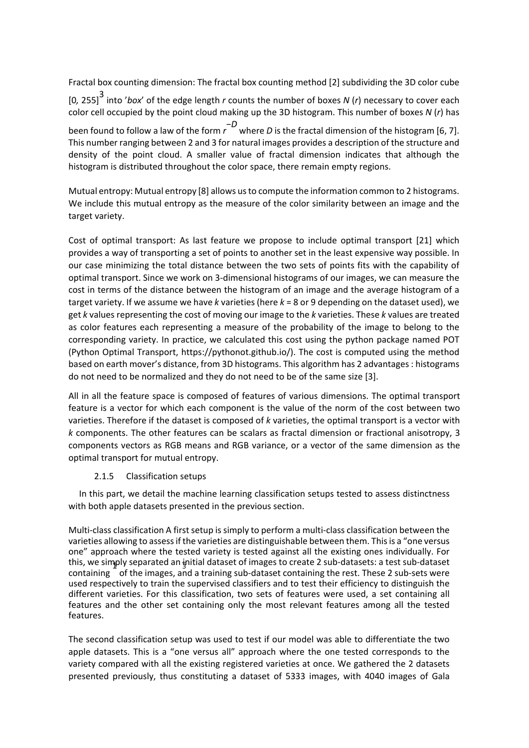Fractal box counting dimension: The fractal box counting method [2] subdividing the 3D color cube [0*,* 255]3 into '*box*' of the edge length *r* counts the number of boxes *N* (*r*) necessary to cover each color cell occupied by the point cloud making up the 3D histogram. This number of boxes *N* (*r*) has been found to follow a law of the form *r* <sup>−</sup>*D* where *D* is the fractal dimension of the histogram [6, 7]. This number ranging between 2 and 3 for natural images provides a description of the structure and density of the point cloud. A smaller value of fractal dimension indicates that although the

Mutual entropy: Mutual entropy [8] allows us to compute the information common to 2 histograms. We include this mutual entropy as the measure of the color similarity between an image and the target variety.

histogram is distributed throughout the color space, there remain empty regions.

Cost of optimal transport: As last feature we propose to include optimal transport [21] which provides a way of transporting a set of points to another set in the least expensive way possible. In our case minimizing the total distance between the two sets of points fits with the capability of optimal transport. Since we work on 3‐dimensional histograms of our images, we can measure the cost in terms of the distance between the histogram of an image and the average histogram of a target variety. If we assume we have *k* varieties (here *k* = 8 or 9 depending on the dataset used), we get *k* values representing the cost of moving our image to the *k* varieties. These *k* values are treated as color features each representing a measure of the probability of the image to belong to the corresponding variety. In practice, we calculated this cost using the python package named POT (Python Optimal Transport, https://pythonot.github.io/). The cost is computed using the method based on earth mover's distance, from 3D histograms. This algorithm has 2 advantages : histograms do not need to be normalized and they do not need to be of the same size [3].

All in all the feature space is composed of features of various dimensions. The optimal transport feature is a vector for which each component is the value of the norm of the cost between two varieties. Therefore if the dataset is composed of *k* varieties, the optimal transport is a vector with *k* components. The other features can be scalars as fractal dimension or fractional anisotropy, 3 components vectors as RGB means and RGB variance, or a vector of the same dimension as the optimal transport for mutual entropy.

# 2.1.5 Classification setups

In this part, we detail the machine learning classification setups tested to assess distinctness with both apple datasets presented in the previous section.

Multi‐class classification A first setup is simply to perform a multi‐class classification between the varieties allowing to assess if the varieties are distinguishable between them. This is a "one versus one" approach where the tested variety is tested against all the existing ones individually. For this, we simply separated an initial dataset of images to create 2 sub-datasets: a test sub-dataset containing of the images, and a training sub-dataset containing the rest. These 2 sub-sets were used respectively to train the supervised classifiers and to test their efficiency to distinguish the different varieties. For this classification, two sets of features were used, a set containing all features and the other set containing only the most relevant features among all the tested features.

The second classification setup was used to test if our model was able to differentiate the two apple datasets. This is a "one versus all" approach where the one tested corresponds to the variety compared with all the existing registered varieties at once. We gathered the 2 datasets presented previously, thus constituting a dataset of 5333 images, with 4040 images of Gala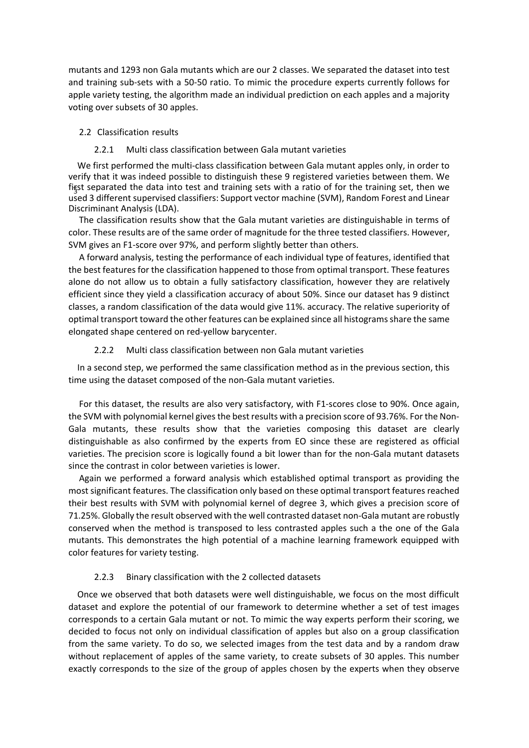mutants and 1293 non Gala mutants which are our 2 classes. We separated the dataset into test and training sub‐sets with a 50‐50 ratio. To mimic the procedure experts currently follows for apple variety testing, the algorithm made an individual prediction on each apples and a majority voting over subsets of 30 apples.

#### 2.2 Classification results

#### 2.2.1 Multi class classification between Gala mutant varieties

We first performed the multi-class classification between Gala mutant apples only, in order to verify that it was indeed possible to distinguish these 9 registered varieties between them. We first separated the data into test and training sets with a ratio of for the training set, then we used 3 different supervised classifiers: Support vector machine (SVM), Random Forest and Linear Discriminant Analysis (LDA).

The classification results show that the Gala mutant varieties are distinguishable in terms of color. These results are of the same order of magnitude for the three tested classifiers. However, SVM gives an F1‐score over 97%, and perform slightly better than others.

A forward analysis, testing the performance of each individual type of features, identified that the best features for the classification happened to those from optimal transport. These features alone do not allow us to obtain a fully satisfactory classification, however they are relatively efficient since they yield a classification accuracy of about 50%. Since our dataset has 9 distinct classes, a random classification of the data would give 11%. accuracy. The relative superiority of optimal transport toward the other features can be explained since all histograms share the same elongated shape centered on red‐yellow barycenter.

#### 2.2.2 Multi class classification between non Gala mutant varieties

In a second step, we performed the same classification method as in the previous section, this time using the dataset composed of the non‐Gala mutant varieties.

For this dataset, the results are also very satisfactory, with F1-scores close to 90%. Once again, the SVM with polynomial kernel gives the best results with a precision score of 93.76%. For the Non-Gala mutants, these results show that the varieties composing this dataset are clearly distinguishable as also confirmed by the experts from EO since these are registered as official varieties. The precision score is logically found a bit lower than for the non‐Gala mutant datasets since the contrast in color between varieties is lower.

Again we performed a forward analysis which established optimal transport as providing the most significant features. The classification only based on these optimal transport features reached their best results with SVM with polynomial kernel of degree 3, which gives a precision score of 71.25%. Globally the result observed with the well contrasted dataset non‐Gala mutant are robustly conserved when the method is transposed to less contrasted apples such a the one of the Gala mutants. This demonstrates the high potential of a machine learning framework equipped with color features for variety testing.

#### 2.2.3 Binary classification with the 2 collected datasets

Once we observed that both datasets were well distinguishable, we focus on the most difficult dataset and explore the potential of our framework to determine whether a set of test images corresponds to a certain Gala mutant or not. To mimic the way experts perform their scoring, we decided to focus not only on individual classification of apples but also on a group classification from the same variety. To do so, we selected images from the test data and by a random draw without replacement of apples of the same variety, to create subsets of 30 apples. This number exactly corresponds to the size of the group of apples chosen by the experts when they observe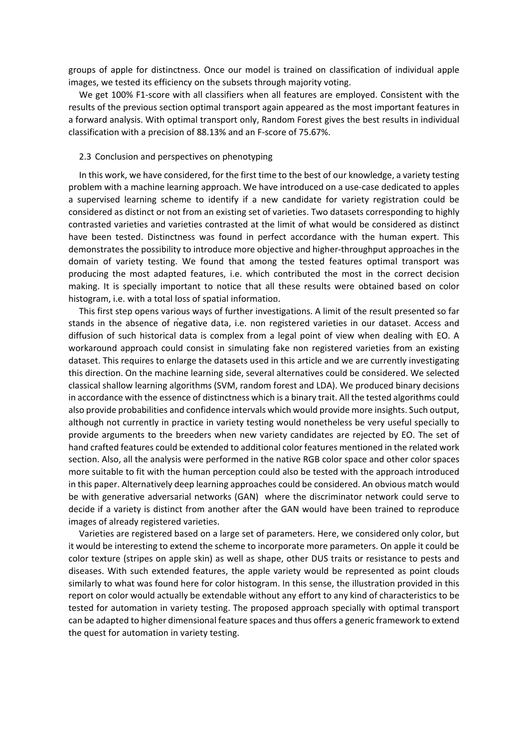groups of apple for distinctness. Once our model is trained on classification of individual apple images, we tested its efficiency on the subsets through majority voting.

We get 100% F1‐score with all classifiers when all features are employed. Consistent with the results of the previous section optimal transport again appeared as the most important features in a forward analysis. With optimal transport only, Random Forest gives the best results in individual classification with a precision of 88.13% and an F‐score of 75.67%.

#### 2.3 Conclusion and perspectives on phenotyping

In this work, we have considered, for the first time to the best of our knowledge, a variety testing problem with a machine learning approach. We have introduced on a use‐case dedicated to apples a supervised learning scheme to identify if a new candidate for variety registration could be considered as distinct or not from an existing set of varieties. Two datasets corresponding to highly contrasted varieties and varieties contrasted at the limit of what would be considered as distinct have been tested. Distinctness was found in perfect accordance with the human expert. This demonstrates the possibility to introduce more objective and higher‐throughput approaches in the domain of variety testing. We found that among the tested features optimal transport was producing the most adapted features, i.e. which contributed the most in the correct decision making. It is specially important to notice that all these results were obtained based on color histogram, i.e. with a total loss of spatial information.

This first step opens various ways of further investigations. A limit of the result presented so far stands in the absence of negative data, i.e. non registered varieties in our dataset. Access and diffusion of such historical data is complex from a legal point of view when dealing with EO. A workaround approach could consist in simulating fake non registered varieties from an existing dataset. This requires to enlarge the datasets used in this article and we are currently investigating this direction. On the machine learning side, several alternatives could be considered. We selected classical shallow learning algorithms (SVM, random forest and LDA). We produced binary decisions in accordance with the essence of distinctness which is a binary trait. All the tested algorithms could also provide probabilities and confidence intervals which would provide more insights. Such output, although not currently in practice in variety testing would nonetheless be very useful specially to provide arguments to the breeders when new variety candidates are rejected by EO. The set of hand crafted features could be extended to additional color features mentioned in the related work section. Also, all the analysis were performed in the native RGB color space and other color spaces more suitable to fit with the human perception could also be tested with the approach introduced in this paper. Alternatively deep learning approaches could be considered. An obvious match would be with generative adversarial networks (GAN) where the discriminator network could serve to decide if a variety is distinct from another after the GAN would have been trained to reproduce images of already registered varieties.

Varieties are registered based on a large set of parameters. Here, we considered only color, but it would be interesting to extend the scheme to incorporate more parameters. On apple it could be color texture (stripes on apple skin) as well as shape, other DUS traits or resistance to pests and diseases. With such extended features, the apple variety would be represented as point clouds similarly to what was found here for color histogram. In this sense, the illustration provided in this report on color would actually be extendable without any effort to any kind of characteristics to be tested for automation in variety testing. The proposed approach specially with optimal transport can be adapted to higher dimensional feature spaces and thus offers a generic framework to extend the quest for automation in variety testing.